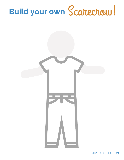# Build your own Scarecraw!

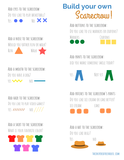**Add eyes to the scarecrow:** DO YOU LIKE TO PLAY BASKETBALL? YES O NO XX

### **Add a nose to the scarecrow:** WOULD YOU RATHER RUN OR WALK? RUN WALK

#### **Add a mouth to the scarecrow:** DO YOU HAVE A DOG? yes was not

**Add hair to the scarecrow:** DO YOU LIKE TO PLAY VIDEO GAMES?  $YES$  /////// NO  $ZZZZ$ 

**Add a shirt to the scarecrow:** WHAT IS YOUR FAVORITE COLOR?



## **Build your own** Scarecrow!

**Add buttons to the scarecrow:** DO YOU LIKE TO USE MARKERS OR CRAYONS? MARKERS CRAYONS





**Add pants to the scarecrow:** didyou make someone smile today?



**Add patches to the scarecrow's pants:** DO YOU LIKE ICE CREAM OR CAKE BETTER? ice cream cake

**Add a hat to the scarecrow:** DO YOU LIKE BUGS?



**theinspiredtreehouse.com**